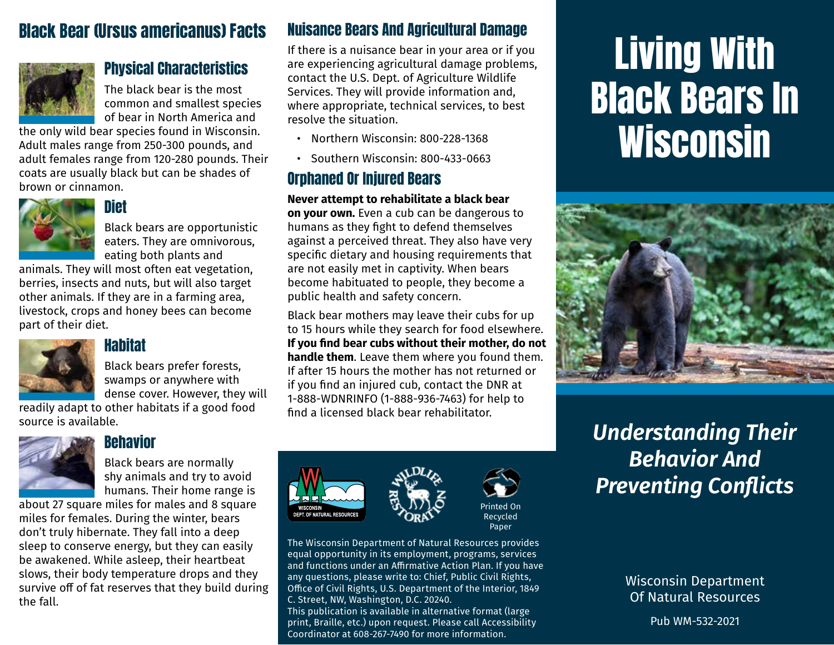# Black Bear (Ursus americanus) Facts



### Physical Characteristics

The black bear is the most common and smallest species of bear in North America and

the only wild bear species found in Wisconsin. Adult males range from 250-300 pounds, and adult females range from 120-280 pounds. Their coats are usually black but can be shades of brown or cinnamon.



### Diet

Black bears are opportunistic eaters. They are omnivorous, eating both plants and

animals. They will most often eat vegetation, berries, insects and nuts, but will also target other animals. If they are in a farming area, livestock, crops and honey bees can become part of their diet.



### **Hahitat**

Black bears prefer forests, swamps or anywhere with dense cover. However, they will

readily adapt to other habitats if a good food source is available.



### **Behavior**

Black bears are normally shy animals and try to avoid humans. Their home range is

about 27 square miles for males and 8 square miles for females. During the winter, bears don't truly hibernate. They fall into a deep sleep to conserve energy, but they can easily be awakened. While asleep, their heartbeat slows, their body temperature drops and they survive off of fat reserves that they build during the fall.

### Nuisance Bears And Agricultural Damage

If there is a nuisance bear in your area or if you are experiencing agricultural damage problems, contact the U.S. Dept. of Agriculture Wildlife Services. They will provide information and, where appropriate, technical services, to best resolve the situation.

- Northern Wisconsin: 800-228-1368
- Southern Wisconsin: 800-433-0663

## Orphaned Or Injured Bears

**Never attempt to rehabilitate a black bear on your own.** Even a cub can be dangerous to humans as they fight to defend themselves against a perceived threat. They also have very specific dietary and housing requirements that are not easily met in captivity. When bears become habituated to people, they become a public health and safety concern.

Black bear mothers may leave their cubs for up to 15 hours while they search for food elsewhere. **If you find bear cubs without their mother, do not handle them**. Leave them where you found them. If after 15 hours the mother has not returned or if you find an injured cub, contact the DNR at 1-888-WDNRINFO (1-888-936-7463) for help to find a licensed black bear rehabilitator.





Printed On Recycled Paper

The Wisconsin Department of Natural Resources provides equal opportunity in its employment, programs, services and functions under an Affirmative Action Plan. If you have any questions, please write to: Chief, Public Civil Rights, Office of Civil Rights, U.S. Department of the Interior, 1849 C. Street, NW, Washington, D.C. 20240. This publication is available in alternative format (large print, Braille, etc.) upon request. Please call Accessibility Coordinator at 608-267-7490 for more information.

# Living With Black Bears In **Wisconsin**



# *Understanding Their Behavior And Preventing Conflicts*

Wisconsin Department Of Natural Resources

Pub WM-532-2021